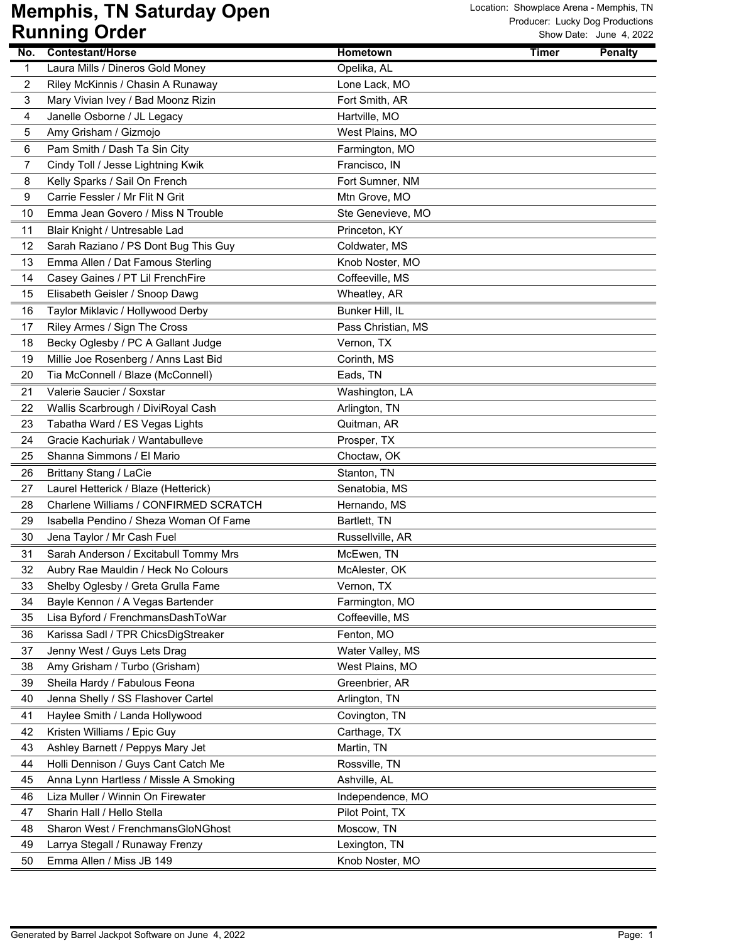| No. | <b>Contestant/Horse</b>                | Hometown           | <b>Timer</b> | <b>Penalty</b> |
|-----|----------------------------------------|--------------------|--------------|----------------|
| 1   | Laura Mills / Dineros Gold Money       | Opelika, AL        |              |                |
| 2   | Riley McKinnis / Chasin A Runaway      | Lone Lack, MO      |              |                |
| 3   | Mary Vivian Ivey / Bad Moonz Rizin     | Fort Smith, AR     |              |                |
| 4   | Janelle Osborne / JL Legacy            | Hartville, MO      |              |                |
| 5   | Amy Grisham / Gizmojo                  | West Plains, MO    |              |                |
| 6   | Pam Smith / Dash Ta Sin City           | Farmington, MO     |              |                |
| 7   | Cindy Toll / Jesse Lightning Kwik      | Francisco, IN      |              |                |
| 8   | Kelly Sparks / Sail On French          | Fort Sumner, NM    |              |                |
| 9   | Carrie Fessler / Mr Flit N Grit        | Mtn Grove, MO      |              |                |
| 10  | Emma Jean Govero / Miss N Trouble      | Ste Genevieve, MO  |              |                |
| 11  | Blair Knight / Untresable Lad          | Princeton, KY      |              |                |
| 12  | Sarah Raziano / PS Dont Bug This Guy   | Coldwater, MS      |              |                |
| 13  | Emma Allen / Dat Famous Sterling       | Knob Noster, MO    |              |                |
| 14  | Casey Gaines / PT Lil FrenchFire       | Coffeeville, MS    |              |                |
| 15  | Elisabeth Geisler / Snoop Dawg         | Wheatley, AR       |              |                |
| 16  | Taylor Miklavic / Hollywood Derby      | Bunker Hill, IL    |              |                |
| 17  | Riley Armes / Sign The Cross           | Pass Christian, MS |              |                |
| 18  | Becky Oglesby / PC A Gallant Judge     | Vernon, TX         |              |                |
| 19  | Millie Joe Rosenberg / Anns Last Bid   | Corinth, MS        |              |                |
| 20  | Tia McConnell / Blaze (McConnell)      | Eads, TN           |              |                |
| 21  | Valerie Saucier / Soxstar              | Washington, LA     |              |                |
| 22  | Wallis Scarbrough / DiviRoyal Cash     | Arlington, TN      |              |                |
| 23  | Tabatha Ward / ES Vegas Lights         | Quitman, AR        |              |                |
| 24  | Gracie Kachuriak / Wantabulleve        | Prosper, TX        |              |                |
| 25  | Shanna Simmons / El Mario              | Choctaw, OK        |              |                |
| 26  | <b>Brittany Stang / LaCie</b>          | Stanton, TN        |              |                |
| 27  | Laurel Hetterick / Blaze (Hetterick)   | Senatobia, MS      |              |                |
| 28  | Charlene Williams / CONFIRMED SCRATCH  | Hernando, MS       |              |                |
| 29  | Isabella Pendino / Sheza Woman Of Fame | Bartlett, TN       |              |                |
| 30  | Jena Taylor / Mr Cash Fuel             | Russellville, AR   |              |                |
| 31  | Sarah Anderson / Excitabull Tommy Mrs  | McEwen, TN         |              |                |
| 32  | Aubry Rae Mauldin / Heck No Colours    | McAlester, OK      |              |                |
| 33  | Shelby Oglesby / Greta Grulla Fame     | Vernon, TX         |              |                |
| 34  | Bayle Kennon / A Vegas Bartender       | Farmington, MO     |              |                |
| 35  | Lisa Byford / FrenchmansDashToWar      | Coffeeville, MS    |              |                |
| 36  | Karissa Sadl / TPR ChicsDigStreaker    | Fenton, MO         |              |                |
| 37  | Jenny West / Guys Lets Drag            | Water Valley, MS   |              |                |
| 38  | Amy Grisham / Turbo (Grisham)          | West Plains, MO    |              |                |
| 39  | Sheila Hardy / Fabulous Feona          | Greenbrier, AR     |              |                |
| 40  | Jenna Shelly / SS Flashover Cartel     | Arlington, TN      |              |                |
| 41  | Haylee Smith / Landa Hollywood         | Covington, TN      |              |                |
| 42  | Kristen Williams / Epic Guy            | Carthage, TX       |              |                |
| 43  | Ashley Barnett / Peppys Mary Jet       | Martin, TN         |              |                |
| 44  | Holli Dennison / Guys Cant Catch Me    | Rossville, TN      |              |                |
| 45  | Anna Lynn Hartless / Missle A Smoking  | Ashville, AL       |              |                |
| 46  | Liza Muller / Winnin On Firewater      | Independence, MO   |              |                |
| 47  | Sharin Hall / Hello Stella             | Pilot Point, TX    |              |                |
| 48  | Sharon West / FrenchmansGloNGhost      | Moscow, TN         |              |                |
| 49  | Larrya Stegall / Runaway Frenzy        | Lexington, TN      |              |                |
| 50  | Emma Allen / Miss JB 149               | Knob Noster, MO    |              |                |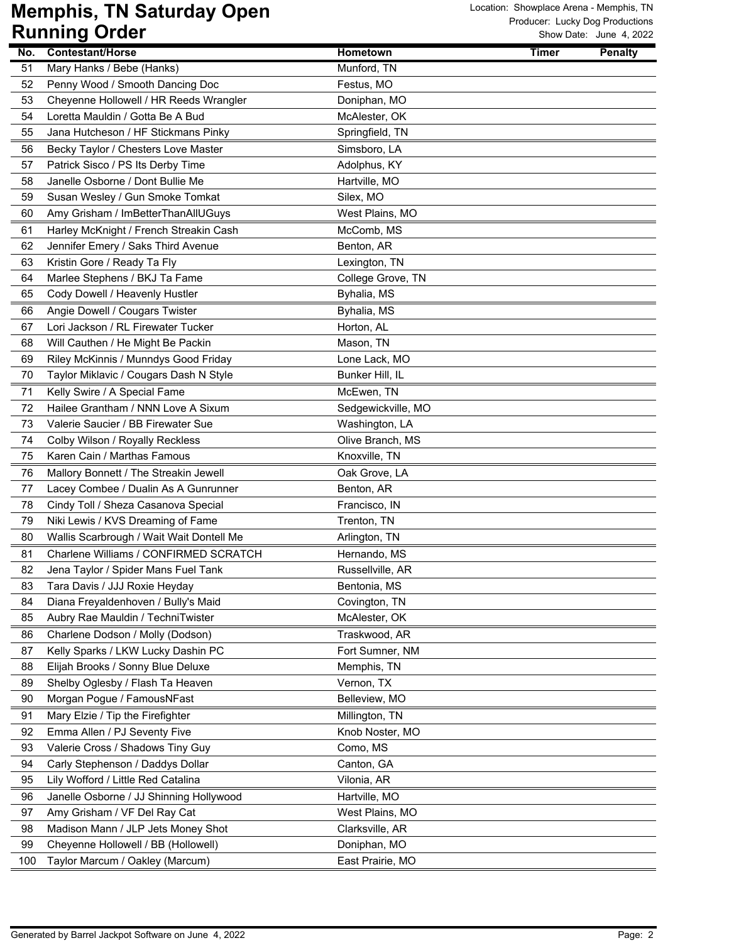| No.      | <b>Contestant/Horse</b>                  | <b>Hometown</b>                  | <b>Timer</b> | <b>Penalty</b> |
|----------|------------------------------------------|----------------------------------|--------------|----------------|
| 51       | Mary Hanks / Bebe (Hanks)                | Munford, TN                      |              |                |
| 52       | Penny Wood / Smooth Dancing Doc          | Festus, MO                       |              |                |
| 53       | Cheyenne Hollowell / HR Reeds Wrangler   | Doniphan, MO                     |              |                |
| 54       | Loretta Mauldin / Gotta Be A Bud         | McAlester, OK                    |              |                |
| 55       | Jana Hutcheson / HF Stickmans Pinky      | Springfield, TN                  |              |                |
| 56       | Becky Taylor / Chesters Love Master      | Simsboro, LA                     |              |                |
| 57       | Patrick Sisco / PS Its Derby Time        | Adolphus, KY                     |              |                |
| 58       | Janelle Osborne / Dont Bullie Me         | Hartville, MO                    |              |                |
| 59       | Susan Wesley / Gun Smoke Tomkat          | Silex, MO                        |              |                |
| 60       | Amy Grisham / ImBetterThanAllUGuys       | West Plains, MO                  |              |                |
| 61       | Harley McKnight / French Streakin Cash   | McComb, MS                       |              |                |
| 62       | Jennifer Emery / Saks Third Avenue       | Benton, AR                       |              |                |
| 63       | Kristin Gore / Ready Ta Fly              | Lexington, TN                    |              |                |
| 64       | Marlee Stephens / BKJ Ta Fame            | College Grove, TN                |              |                |
| 65       | Cody Dowell / Heavenly Hustler           | Byhalia, MS                      |              |                |
| 66       | Angie Dowell / Cougars Twister           | Byhalia, MS                      |              |                |
| 67       | Lori Jackson / RL Firewater Tucker       | Horton, AL                       |              |                |
| 68       | Will Cauthen / He Might Be Packin        | Mason, TN                        |              |                |
| 69       | Riley McKinnis / Munndys Good Friday     | Lone Lack, MO                    |              |                |
| 70       | Taylor Miklavic / Cougars Dash N Style   | Bunker Hill, IL                  |              |                |
| 71       | Kelly Swire / A Special Fame             | McEwen, TN                       |              |                |
| 72       | Hailee Grantham / NNN Love A Sixum       | Sedgewickville, MO               |              |                |
| 73       | Valerie Saucier / BB Firewater Sue       | Washington, LA                   |              |                |
| 74       | Colby Wilson / Royally Reckless          | Olive Branch, MS                 |              |                |
| 75       | Karen Cain / Marthas Famous              | Knoxville, TN                    |              |                |
| 76       | Mallory Bonnett / The Streakin Jewell    | Oak Grove, LA                    |              |                |
| 77       | Lacey Combee / Dualin As A Gunrunner     | Benton, AR                       |              |                |
| 78       | Cindy Toll / Sheza Casanova Special      | Francisco, IN                    |              |                |
| 79       | Niki Lewis / KVS Dreaming of Fame        | Trenton, TN                      |              |                |
| 80       | Wallis Scarbrough / Wait Wait Dontell Me | Arlington, TN                    |              |                |
| 81       | Charlene Williams / CONFIRMED SCRATCH    | Hernando, MS                     |              |                |
| 82       | Jena Taylor / Spider Mans Fuel Tank      | Russellville, AR                 |              |                |
| 83       | Tara Davis / JJJ Roxie Heyday            | Bentonia, MS                     |              |                |
| 84       | Diana Freyaldenhoven / Bully's Maid      | Covington, TN                    |              |                |
| 85       | Aubry Rae Mauldin / TechniTwister        | McAlester, OK                    |              |                |
| 86       | Charlene Dodson / Molly (Dodson)         | Traskwood, AR                    |              |                |
| 87       | Kelly Sparks / LKW Lucky Dashin PC       | Fort Sumner, NM                  |              |                |
| 88       | Elijah Brooks / Sonny Blue Deluxe        | Memphis, TN                      |              |                |
| 89       | Shelby Oglesby / Flash Ta Heaven         | Vernon, TX                       |              |                |
| 90       | Morgan Pogue / FamousNFast               | Belleview, MO                    |              |                |
| 91       | Mary Elzie / Tip the Firefighter         | Millington, TN                   |              |                |
| 92       | Emma Allen / PJ Seventy Five             | Knob Noster, MO                  |              |                |
| 93       | Valerie Cross / Shadows Tiny Guy         | Como, MS                         |              |                |
| 94       | Carly Stephenson / Daddys Dollar         | Canton, GA                       |              |                |
| 95       | Lily Wofford / Little Red Catalina       | Vilonia, AR                      |              |                |
|          | Janelle Osborne / JJ Shinning Hollywood  |                                  |              |                |
| 96       | Amy Grisham / VF Del Ray Cat             | Hartville, MO<br>West Plains, MO |              |                |
| 97       | Madison Mann / JLP Jets Money Shot       | Clarksville, AR                  |              |                |
| 98<br>99 | Cheyenne Hollowell / BB (Hollowell)      | Doniphan, MO                     |              |                |
|          | Taylor Marcum / Oakley (Marcum)          | East Prairie, MO                 |              |                |
| 100      |                                          |                                  |              |                |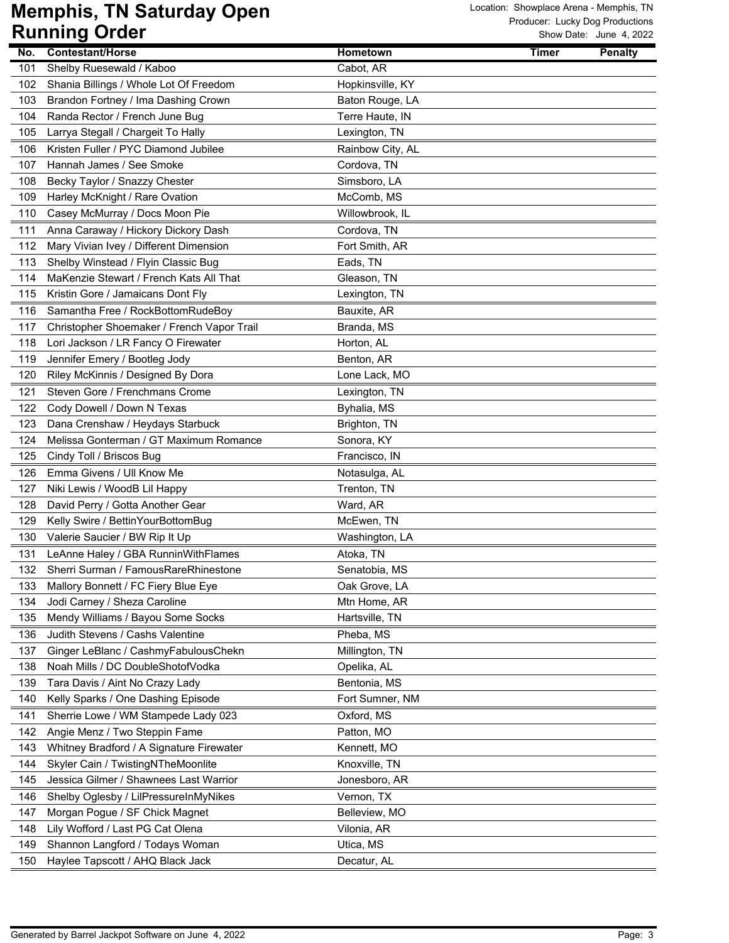|            | פייייייאי<br>$\bullet$ . $\bullet$                                        |                  |                                |
|------------|---------------------------------------------------------------------------|------------------|--------------------------------|
| No.        | <b>Contestant/Horse</b>                                                   | Hometown         | <b>Timer</b><br><b>Penalty</b> |
| 101        | Shelby Ruesewald / Kaboo                                                  | Cabot, AR        |                                |
| 102        | Shania Billings / Whole Lot Of Freedom                                    | Hopkinsville, KY |                                |
| 103        | Brandon Fortney / Ima Dashing Crown                                       | Baton Rouge, LA  |                                |
| 104        | Randa Rector / French June Bug                                            | Terre Haute, IN  |                                |
| 105        | Larrya Stegall / Chargeit To Hally                                        | Lexington, TN    |                                |
| 106        | Kristen Fuller / PYC Diamond Jubilee                                      | Rainbow City, AL |                                |
| 107        | Hannah James / See Smoke                                                  | Cordova, TN      |                                |
| 108        | Becky Taylor / Snazzy Chester                                             | Simsboro, LA     |                                |
| 109        | Harley McKnight / Rare Ovation                                            | McComb, MS       |                                |
| 110        | Casey McMurray / Docs Moon Pie                                            | Willowbrook, IL  |                                |
| 111        | Anna Caraway / Hickory Dickory Dash                                       | Cordova, TN      |                                |
| 112        | Mary Vivian Ivey / Different Dimension                                    | Fort Smith, AR   |                                |
| 113        | Shelby Winstead / Flyin Classic Bug                                       | Eads, TN         |                                |
| 114        | MaKenzie Stewart / French Kats All That                                   | Gleason, TN      |                                |
| 115        | Kristin Gore / Jamaicans Dont Fly                                         | Lexington, TN    |                                |
| 116        | Samantha Free / RockBottomRudeBoy                                         | Bauxite, AR      |                                |
| 117        | Christopher Shoemaker / French Vapor Trail                                | Branda, MS       |                                |
| 118        | Lori Jackson / LR Fancy O Firewater                                       | Horton, AL       |                                |
| 119        | Jennifer Emery / Bootleg Jody                                             | Benton, AR       |                                |
| 120        | Riley McKinnis / Designed By Dora                                         | Lone Lack, MO    |                                |
| 121        | Steven Gore / Frenchmans Crome                                            | Lexington, TN    |                                |
| 122        | Cody Dowell / Down N Texas                                                | Byhalia, MS      |                                |
| 123        | Dana Crenshaw / Heydays Starbuck                                          | Brighton, TN     |                                |
| 124        | Melissa Gonterman / GT Maximum Romance                                    | Sonora, KY       |                                |
| 125        | Cindy Toll / Briscos Bug                                                  | Francisco, IN    |                                |
| 126        | Emma Givens / Ull Know Me                                                 | Notasulga, AL    |                                |
| 127        | Niki Lewis / WoodB Lil Happy                                              | Trenton, TN      |                                |
| 128        | David Perry / Gotta Another Gear                                          | Ward, AR         |                                |
| 129        | Kelly Swire / BettinYourBottomBug                                         | McEwen, TN       |                                |
| 130        | Valerie Saucier / BW Rip It Up                                            | Washington, LA   |                                |
| 131        | LeAnne Haley / GBA RunninWithFlames                                       | Atoka, TN        |                                |
| 132        | Sherri Surman / FamousRareRhinestone                                      | Senatobia, MS    |                                |
| 133        | Mallory Bonnett / FC Fiery Blue Eye                                       | Oak Grove, LA    |                                |
| 134        | Jodi Carney / Sheza Caroline                                              | Mtn Home, AR     |                                |
| 135        | Mendy Williams / Bayou Some Socks                                         | Hartsville, TN   |                                |
| 136        | Judith Stevens / Cashs Valentine                                          | Pheba, MS        |                                |
| 137        | Ginger LeBlanc / CashmyFabulousChekn                                      | Millington, TN   |                                |
| 138        | Noah Mills / DC DoubleShotofVodka                                         | Opelika, AL      |                                |
| 139        | Tara Davis / Aint No Crazy Lady                                           | Bentonia, MS     |                                |
| 140        | Kelly Sparks / One Dashing Episode                                        | Fort Sumner, NM  |                                |
| 141        | Sherrie Lowe / WM Stampede Lady 023                                       | Oxford, MS       |                                |
|            |                                                                           | Patton, MO       |                                |
| 142<br>143 | Angie Menz / Two Steppin Fame<br>Whitney Bradford / A Signature Firewater |                  |                                |
|            |                                                                           | Kennett, MO      |                                |
| 144        | Skyler Cain / TwistingNTheMoonlite                                        | Knoxville, TN    |                                |
| 145        | Jessica Gilmer / Shawnees Last Warrior                                    | Jonesboro, AR    |                                |
| 146        | Shelby Oglesby / LilPressureInMyNikes                                     | Vernon, TX       |                                |
| 147        | Morgan Pogue / SF Chick Magnet                                            | Belleview, MO    |                                |
| 148        | Lily Wofford / Last PG Cat Olena                                          | Vilonia, AR      |                                |
| 149        | Shannon Langford / Todays Woman                                           | Utica, MS        |                                |
| 150        | Haylee Tapscott / AHQ Black Jack                                          | Decatur, AL      |                                |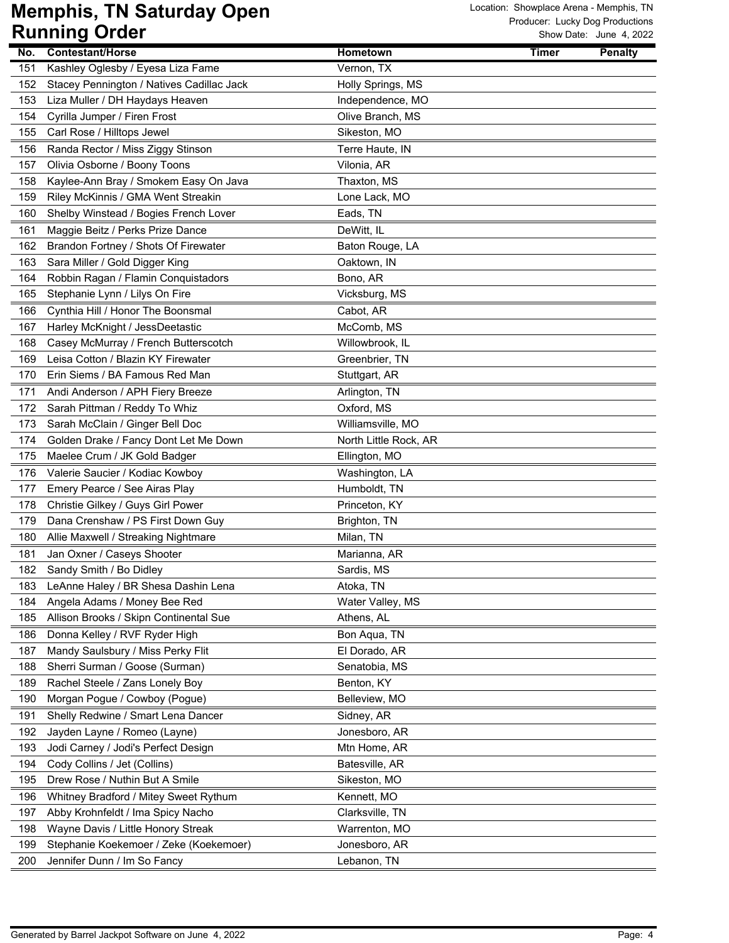|            | ישטיש שויייייייייי                                                     |                               |              | UW DAIG. JUNG 7, ZUZZ |
|------------|------------------------------------------------------------------------|-------------------------------|--------------|-----------------------|
| No.        | Contestant/Horse                                                       | <b>Hometown</b>               | <b>Timer</b> | <b>Penalty</b>        |
| 151        | Kashley Oglesby / Eyesa Liza Fame                                      | Vernon, TX                    |              |                       |
| 152        | Stacey Pennington / Natives Cadillac Jack                              | Holly Springs, MS             |              |                       |
| 153        | Liza Muller / DH Haydays Heaven                                        | Independence, MO              |              |                       |
| 154        | Cyrilla Jumper / Firen Frost                                           | Olive Branch, MS              |              |                       |
| 155        | Carl Rose / Hilltops Jewel                                             | Sikeston, MO                  |              |                       |
| 156        | Randa Rector / Miss Ziggy Stinson                                      | Terre Haute, IN               |              |                       |
| 157        | Olivia Osborne / Boony Toons                                           | Vilonia, AR                   |              |                       |
| 158        | Kaylee-Ann Bray / Smokem Easy On Java                                  | Thaxton, MS                   |              |                       |
| 159        | Riley McKinnis / GMA Went Streakin                                     | Lone Lack, MO                 |              |                       |
| 160        | Shelby Winstead / Bogies French Lover                                  | Eads, TN                      |              |                       |
| 161        | Maggie Beitz / Perks Prize Dance                                       | DeWitt, IL                    |              |                       |
| 162        | Brandon Fortney / Shots Of Firewater                                   | Baton Rouge, LA               |              |                       |
| 163        | Sara Miller / Gold Digger King                                         | Oaktown, IN                   |              |                       |
| 164        | Robbin Ragan / Flamin Conquistadors                                    | Bono, AR                      |              |                       |
| 165        | Stephanie Lynn / Lilys On Fire                                         | Vicksburg, MS                 |              |                       |
| 166        | Cynthia Hill / Honor The Boonsmal                                      | Cabot, AR                     |              |                       |
| 167        | Harley McKnight / JessDeetastic                                        | McComb, MS                    |              |                       |
| 168        | Casey McMurray / French Butterscotch                                   | Willowbrook, IL               |              |                       |
| 169        | Leisa Cotton / Blazin KY Firewater                                     | Greenbrier, TN                |              |                       |
| 170        | Erin Siems / BA Famous Red Man                                         | Stuttgart, AR                 |              |                       |
| 171        | Andi Anderson / APH Fiery Breeze                                       | Arlington, TN                 |              |                       |
| 172        | Sarah Pittman / Reddy To Whiz                                          | Oxford, MS                    |              |                       |
| 173        | Sarah McClain / Ginger Bell Doc                                        | Williamsville, MO             |              |                       |
| 174        | Golden Drake / Fancy Dont Let Me Down                                  | North Little Rock, AR         |              |                       |
| 175        | Maelee Crum / JK Gold Badger                                           | Ellington, MO                 |              |                       |
| 176        | Valerie Saucier / Kodiac Kowboy                                        | Washington, LA                |              |                       |
| 177        | Emery Pearce / See Airas Play                                          | Humboldt, TN                  |              |                       |
| 178        | Christie Gilkey / Guys Girl Power                                      | Princeton, KY                 |              |                       |
| 179        | Dana Crenshaw / PS First Down Guy                                      | Brighton, TN                  |              |                       |
| 180        | Allie Maxwell / Streaking Nightmare                                    | Milan, TN                     |              |                       |
| 181        | Jan Oxner / Caseys Shooter                                             | Marianna, AR                  |              |                       |
| 182        | Sandy Smith / Bo Didley                                                | Sardis, MS                    |              |                       |
|            |                                                                        |                               |              |                       |
| 183<br>184 | LeAnne Haley / BR Shesa Dashin Lena                                    | Atoka, TN<br>Water Valley, MS |              |                       |
| 185        | Angela Adams / Money Bee Red<br>Allison Brooks / Skipn Continental Sue | Athens, AL                    |              |                       |
|            |                                                                        |                               |              |                       |
| 186        | Donna Kelley / RVF Ryder High                                          | Bon Aqua, TN                  |              |                       |
| 187        | Mandy Saulsbury / Miss Perky Flit                                      | El Dorado, AR                 |              |                       |
| 188        | Sherri Surman / Goose (Surman)                                         | Senatobia, MS                 |              |                       |
| 189        | Rachel Steele / Zans Lonely Boy                                        | Benton, KY                    |              |                       |
| 190        | Morgan Pogue / Cowboy (Pogue)                                          | Belleview, MO                 |              |                       |
| 191        | Shelly Redwine / Smart Lena Dancer                                     | Sidney, AR                    |              |                       |
| 192        | Jayden Layne / Romeo (Layne)                                           | Jonesboro, AR                 |              |                       |
| 193        | Jodi Carney / Jodi's Perfect Design                                    | Mtn Home, AR                  |              |                       |
| 194        | Cody Collins / Jet (Collins)                                           | Batesville, AR                |              |                       |
| 195        | Drew Rose / Nuthin But A Smile                                         | Sikeston, MO                  |              |                       |
| 196        | Whitney Bradford / Mitey Sweet Rythum                                  | Kennett, MO                   |              |                       |
| 197        | Abby Krohnfeldt / Ima Spicy Nacho                                      | Clarksville, TN               |              |                       |
| 198        | Wayne Davis / Little Honory Streak                                     | Warrenton, MO                 |              |                       |
| 199        | Stephanie Koekemoer / Zeke (Koekemoer)                                 | Jonesboro, AR                 |              |                       |
| 200        | Jennifer Dunn / Im So Fancy                                            | Lebanon, TN                   |              |                       |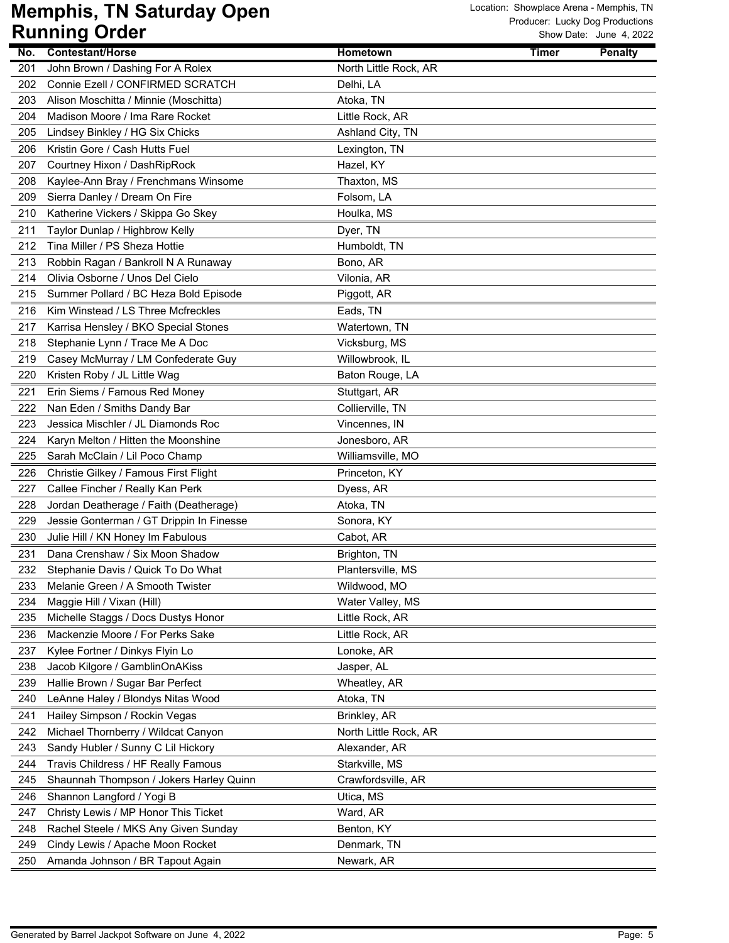| No. | <b>Contestant/Horse</b>                                              | Hometown              | Timer | <b>Penalty</b> |
|-----|----------------------------------------------------------------------|-----------------------|-------|----------------|
| 201 | John Brown / Dashing For A Rolex<br>Connie Ezell / CONFIRMED SCRATCH | North Little Rock, AR |       |                |
| 202 |                                                                      | Delhi, LA             |       |                |
| 203 | Alison Moschitta / Minnie (Moschitta)                                | Atoka, TN             |       |                |
| 204 | Madison Moore / Ima Rare Rocket                                      | Little Rock, AR       |       |                |
| 205 | Lindsey Binkley / HG Six Chicks                                      | Ashland City, TN      |       |                |
| 206 | Kristin Gore / Cash Hutts Fuel                                       | Lexington, TN         |       |                |
| 207 | Courtney Hixon / DashRipRock                                         | Hazel, KY             |       |                |
| 208 | Kaylee-Ann Bray / Frenchmans Winsome                                 | Thaxton, MS           |       |                |
| 209 | Sierra Danley / Dream On Fire                                        | Folsom, LA            |       |                |
| 210 | Katherine Vickers / Skippa Go Skey                                   | Houlka, MS            |       |                |
| 211 | Taylor Dunlap / Highbrow Kelly                                       | Dyer, TN              |       |                |
| 212 | Tina Miller / PS Sheza Hottie                                        | Humboldt, TN          |       |                |
| 213 | Robbin Ragan / Bankroll N A Runaway                                  | Bono, AR              |       |                |
| 214 | Olivia Osborne / Unos Del Cielo                                      | Vilonia, AR           |       |                |
| 215 | Summer Pollard / BC Heza Bold Episode                                | Piggott, AR           |       |                |
| 216 | Kim Winstead / LS Three Mcfreckles                                   | Eads, TN              |       |                |
| 217 | Karrisa Hensley / BKO Special Stones                                 | Watertown, TN         |       |                |
| 218 | Stephanie Lynn / Trace Me A Doc                                      | Vicksburg, MS         |       |                |
| 219 | Casey McMurray / LM Confederate Guy                                  | Willowbrook, IL       |       |                |
| 220 | Kristen Roby / JL Little Wag                                         | Baton Rouge, LA       |       |                |
| 221 | Erin Siems / Famous Red Money                                        | Stuttgart, AR         |       |                |
| 222 | Nan Eden / Smiths Dandy Bar                                          | Collierville, TN      |       |                |
| 223 | Jessica Mischler / JL Diamonds Roc                                   | Vincennes, IN         |       |                |
| 224 | Karyn Melton / Hitten the Moonshine                                  | Jonesboro, AR         |       |                |
| 225 | Sarah McClain / Lil Poco Champ                                       | Williamsville, MO     |       |                |
| 226 | Christie Gilkey / Famous First Flight                                | Princeton, KY         |       |                |
| 227 | Callee Fincher / Really Kan Perk                                     | Dyess, AR             |       |                |
| 228 | Jordan Deatherage / Faith (Deatherage)                               | Atoka, TN             |       |                |
| 229 | Jessie Gonterman / GT Drippin In Finesse                             | Sonora, KY            |       |                |
| 230 | Julie Hill / KN Honey Im Fabulous                                    | Cabot, AR             |       |                |
| 231 | Dana Crenshaw / Six Moon Shadow                                      | Brighton, TN          |       |                |
| 232 | Stephanie Davis / Quick To Do What                                   | Plantersville, MS     |       |                |
| 233 | Melanie Green / A Smooth Twister                                     | Wildwood, MO          |       |                |
| 234 | Maggie Hill / Vixan (Hill)                                           | Water Valley, MS      |       |                |
| 235 | Michelle Staggs / Docs Dustys Honor                                  | Little Rock, AR       |       |                |
| 236 | Mackenzie Moore / For Perks Sake                                     | Little Rock, AR       |       |                |
| 237 | Kylee Fortner / Dinkys Flyin Lo                                      | Lonoke, AR            |       |                |
| 238 | Jacob Kilgore / GamblinOnAKiss                                       | Jasper, AL            |       |                |
| 239 | Hallie Brown / Sugar Bar Perfect                                     | Wheatley, AR          |       |                |
| 240 | LeAnne Haley / Blondys Nitas Wood                                    | Atoka, TN             |       |                |
| 241 | Hailey Simpson / Rockin Vegas                                        | Brinkley, AR          |       |                |
| 242 | Michael Thornberry / Wildcat Canyon                                  | North Little Rock, AR |       |                |
| 243 | Sandy Hubler / Sunny C Lil Hickory                                   | Alexander, AR         |       |                |
| 244 | Travis Childress / HF Really Famous                                  | Starkville, MS        |       |                |
| 245 | Shaunnah Thompson / Jokers Harley Quinn                              | Crawfordsville, AR    |       |                |
| 246 | Shannon Langford / Yogi B                                            | Utica, MS             |       |                |
| 247 | Christy Lewis / MP Honor This Ticket                                 | Ward, AR              |       |                |
| 248 | Rachel Steele / MKS Any Given Sunday                                 | Benton, KY            |       |                |
| 249 | Cindy Lewis / Apache Moon Rocket                                     | Denmark, TN           |       |                |
| 250 | Amanda Johnson / BR Tapout Again                                     | Newark, AR            |       |                |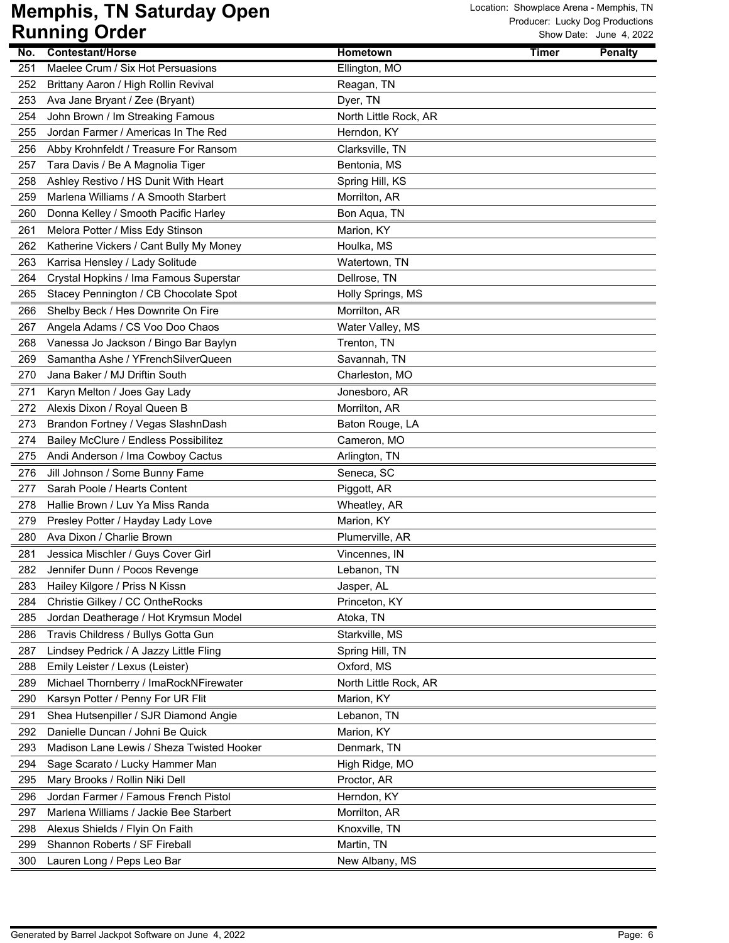| No. | <b>Contestant/Horse</b>                   | Hometown              | <b>Timer</b> | <b>Penalty</b> |
|-----|-------------------------------------------|-----------------------|--------------|----------------|
| 251 | Maelee Crum / Six Hot Persuasions         | Ellington, MO         |              |                |
| 252 | Brittany Aaron / High Rollin Revival      | Reagan, TN            |              |                |
| 253 | Ava Jane Bryant / Zee (Bryant)            | Dyer, TN              |              |                |
| 254 | John Brown / Im Streaking Famous          | North Little Rock, AR |              |                |
| 255 | Jordan Farmer / Americas In The Red       | Herndon, KY           |              |                |
| 256 | Abby Krohnfeldt / Treasure For Ransom     | Clarksville, TN       |              |                |
| 257 | Tara Davis / Be A Magnolia Tiger          | Bentonia, MS          |              |                |
| 258 | Ashley Restivo / HS Dunit With Heart      | Spring Hill, KS       |              |                |
| 259 | Marlena Williams / A Smooth Starbert      | Morrilton, AR         |              |                |
| 260 | Donna Kelley / Smooth Pacific Harley      | Bon Aqua, TN          |              |                |
| 261 | Melora Potter / Miss Edy Stinson          | Marion, KY            |              |                |
| 262 | Katherine Vickers / Cant Bully My Money   | Houlka, MS            |              |                |
| 263 | Karrisa Hensley / Lady Solitude           | Watertown, TN         |              |                |
| 264 | Crystal Hopkins / Ima Famous Superstar    | Dellrose, TN          |              |                |
| 265 | Stacey Pennington / CB Chocolate Spot     | Holly Springs, MS     |              |                |
| 266 | Shelby Beck / Hes Downrite On Fire        | Morrilton, AR         |              |                |
| 267 | Angela Adams / CS Voo Doo Chaos           | Water Valley, MS      |              |                |
| 268 | Vanessa Jo Jackson / Bingo Bar Baylyn     | Trenton, TN           |              |                |
| 269 | Samantha Ashe / YFrenchSilverQueen        | Savannah, TN          |              |                |
| 270 | Jana Baker / MJ Driftin South             | Charleston, MO        |              |                |
| 271 | Karyn Melton / Joes Gay Lady              | Jonesboro, AR         |              |                |
| 272 | Alexis Dixon / Royal Queen B              | Morrilton, AR         |              |                |
| 273 | Brandon Fortney / Vegas SlashnDash        | Baton Rouge, LA       |              |                |
| 274 | Bailey McClure / Endless Possibilitez     | Cameron, MO           |              |                |
| 275 | Andi Anderson / Ima Cowboy Cactus         | Arlington, TN         |              |                |
| 276 | Jill Johnson / Some Bunny Fame            | Seneca, SC            |              |                |
| 277 | Sarah Poole / Hearts Content              | Piggott, AR           |              |                |
| 278 | Hallie Brown / Luv Ya Miss Randa          | Wheatley, AR          |              |                |
| 279 | Presley Potter / Hayday Lady Love         | Marion, KY            |              |                |
| 280 | Ava Dixon / Charlie Brown                 | Plumerville, AR       |              |                |
| 281 | Jessica Mischler / Guys Cover Girl        | Vincennes, IN         |              |                |
| 282 | Jennifer Dunn / Pocos Revenge             | Lebanon, TN           |              |                |
| 283 | Hailey Kilgore / Priss N Kissn            | Jasper, AL            |              |                |
| 284 | Christie Gilkey / CC OntheRocks           | Princeton, KY         |              |                |
| 285 | Jordan Deatherage / Hot Krymsun Model     | Atoka, TN             |              |                |
| 286 | Travis Childress / Bullys Gotta Gun       | Starkville, MS        |              |                |
| 287 | Lindsey Pedrick / A Jazzy Little Fling    | Spring Hill, TN       |              |                |
| 288 | Emily Leister / Lexus (Leister)           | Oxford, MS            |              |                |
| 289 | Michael Thornberry / ImaRockNFirewater    | North Little Rock, AR |              |                |
| 290 | Karsyn Potter / Penny For UR Flit         | Marion, KY            |              |                |
| 291 | Shea Hutsenpiller / SJR Diamond Angie     | Lebanon, TN           |              |                |
| 292 | Danielle Duncan / Johni Be Quick          | Marion, KY            |              |                |
| 293 | Madison Lane Lewis / Sheza Twisted Hooker | Denmark, TN           |              |                |
| 294 | Sage Scarato / Lucky Hammer Man           | High Ridge, MO        |              |                |
| 295 | Mary Brooks / Rollin Niki Dell            | Proctor, AR           |              |                |
| 296 | Jordan Farmer / Famous French Pistol      | Herndon, KY           |              |                |
| 297 | Marlena Williams / Jackie Bee Starbert    | Morrilton, AR         |              |                |
| 298 | Alexus Shields / Flyin On Faith           | Knoxville, TN         |              |                |
| 299 | Shannon Roberts / SF Fireball             | Martin, TN            |              |                |
| 300 | Lauren Long / Peps Leo Bar                | New Albany, MS        |              |                |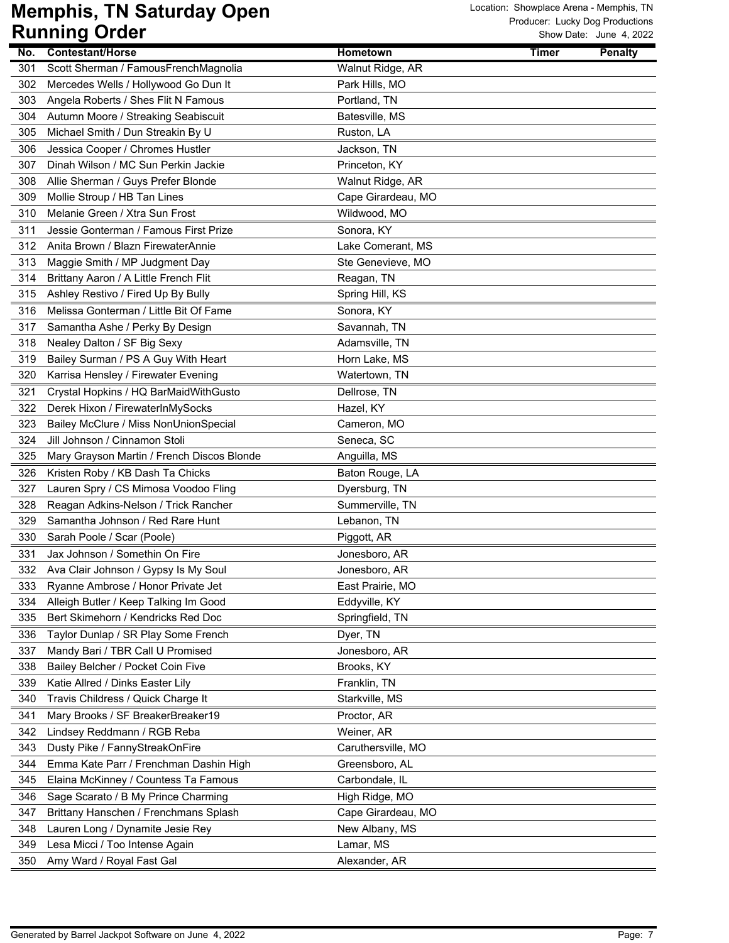| No.        | <b>Contestant/Horse</b>                                               | Hometown                       | <b>Timer</b> | <b>Penalty</b> |
|------------|-----------------------------------------------------------------------|--------------------------------|--------------|----------------|
| 301        | Scott Sherman / FamousFrenchMagnolia                                  | Walnut Ridge, AR               |              |                |
| 302        | Mercedes Wells / Hollywood Go Dun It                                  | Park Hills, MO                 |              |                |
| 303        | Angela Roberts / Shes Flit N Famous                                   | Portland, TN                   |              |                |
| 304        | Autumn Moore / Streaking Seabiscuit                                   | Batesville, MS                 |              |                |
| 305        | Michael Smith / Dun Streakin By U                                     | Ruston, LA                     |              |                |
| 306        | Jessica Cooper / Chromes Hustler                                      | Jackson, TN                    |              |                |
| 307        | Dinah Wilson / MC Sun Perkin Jackie                                   | Princeton, KY                  |              |                |
| 308        | Allie Sherman / Guys Prefer Blonde                                    | Walnut Ridge, AR               |              |                |
| 309        | Mollie Stroup / HB Tan Lines                                          | Cape Girardeau, MO             |              |                |
| 310        | Melanie Green / Xtra Sun Frost                                        | Wildwood, MO                   |              |                |
| 311        | Jessie Gonterman / Famous First Prize                                 | Sonora, KY                     |              |                |
| 312        | Anita Brown / Blazn FirewaterAnnie                                    | Lake Comerant, MS              |              |                |
| 313        | Maggie Smith / MP Judgment Day                                        | Ste Genevieve, MO              |              |                |
| 314        | Brittany Aaron / A Little French Flit                                 | Reagan, TN                     |              |                |
| 315        | Ashley Restivo / Fired Up By Bully                                    | Spring Hill, KS                |              |                |
| 316        | Melissa Gonterman / Little Bit Of Fame                                | Sonora, KY                     |              |                |
| 317        | Samantha Ashe / Perky By Design                                       | Savannah, TN                   |              |                |
| 318        | Nealey Dalton / SF Big Sexy                                           | Adamsville, TN                 |              |                |
| 319        | Bailey Surman / PS A Guy With Heart                                   | Horn Lake, MS                  |              |                |
| 320        | Karrisa Hensley / Firewater Evening                                   | Watertown, TN                  |              |                |
| 321        | Crystal Hopkins / HQ BarMaidWithGusto                                 | Dellrose, TN                   |              |                |
| 322        | Derek Hixon / FirewaterInMySocks                                      | Hazel, KY                      |              |                |
| 323        | Bailey McClure / Miss NonUnionSpecial                                 | Cameron, MO                    |              |                |
| 324        | Jill Johnson / Cinnamon Stoli                                         | Seneca, SC                     |              |                |
| 325        | Mary Grayson Martin / French Discos Blonde                            | Anguilla, MS                   |              |                |
| 326        | Kristen Roby / KB Dash Ta Chicks                                      | Baton Rouge, LA                |              |                |
| 327        | Lauren Spry / CS Mimosa Voodoo Fling                                  | Dyersburg, TN                  |              |                |
| 328        | Reagan Adkins-Nelson / Trick Rancher                                  | Summerville, TN                |              |                |
| 329        | Samantha Johnson / Red Rare Hunt                                      | Lebanon, TN                    |              |                |
| 330        | Sarah Poole / Scar (Poole)                                            | Piggott, AR                    |              |                |
| 331        | Jax Johnson / Somethin On Fire                                        | Jonesboro, AR                  |              |                |
| 332        | Ava Clair Johnson / Gypsy Is My Soul                                  | Jonesboro, AR                  |              |                |
| 333        | Ryanne Ambrose / Honor Private Jet                                    | East Prairie, MO               |              |                |
| 334        | Alleigh Butler / Keep Talking Im Good                                 | Eddyville, KY                  |              |                |
| 335        | Bert Skimehorn / Kendricks Red Doc                                    | Springfield, TN                |              |                |
| 336        |                                                                       | Dyer, TN                       |              |                |
|            | Taylor Dunlap / SR Play Some French                                   |                                |              |                |
| 337        | Mandy Bari / TBR Call U Promised<br>Bailey Belcher / Pocket Coin Five | Jonesboro, AR<br>Brooks, KY    |              |                |
| 338        |                                                                       |                                |              |                |
| 339<br>340 | Katie Allred / Dinks Easter Lily                                      | Franklin, TN<br>Starkville, MS |              |                |
|            | Travis Childress / Quick Charge It                                    |                                |              |                |
| 341        | Mary Brooks / SF BreakerBreaker19                                     | Proctor, AR                    |              |                |
| 342        | Lindsey Reddmann / RGB Reba                                           | Weiner, AR                     |              |                |
| 343        | Dusty Pike / FannyStreakOnFire                                        | Caruthersville, MO             |              |                |
| 344        | Emma Kate Parr / Frenchman Dashin High                                | Greensboro, AL                 |              |                |
| 345        | Elaina McKinney / Countess Ta Famous                                  | Carbondale, IL                 |              |                |
| 346        | Sage Scarato / B My Prince Charming                                   | High Ridge, MO                 |              |                |
| 347        | Brittany Hanschen / Frenchmans Splash                                 | Cape Girardeau, MO             |              |                |
| 348        | Lauren Long / Dynamite Jesie Rey                                      | New Albany, MS                 |              |                |
| 349        | Lesa Micci / Too Intense Again                                        | Lamar, MS                      |              |                |
| 350        | Amy Ward / Royal Fast Gal                                             | Alexander, AR                  |              |                |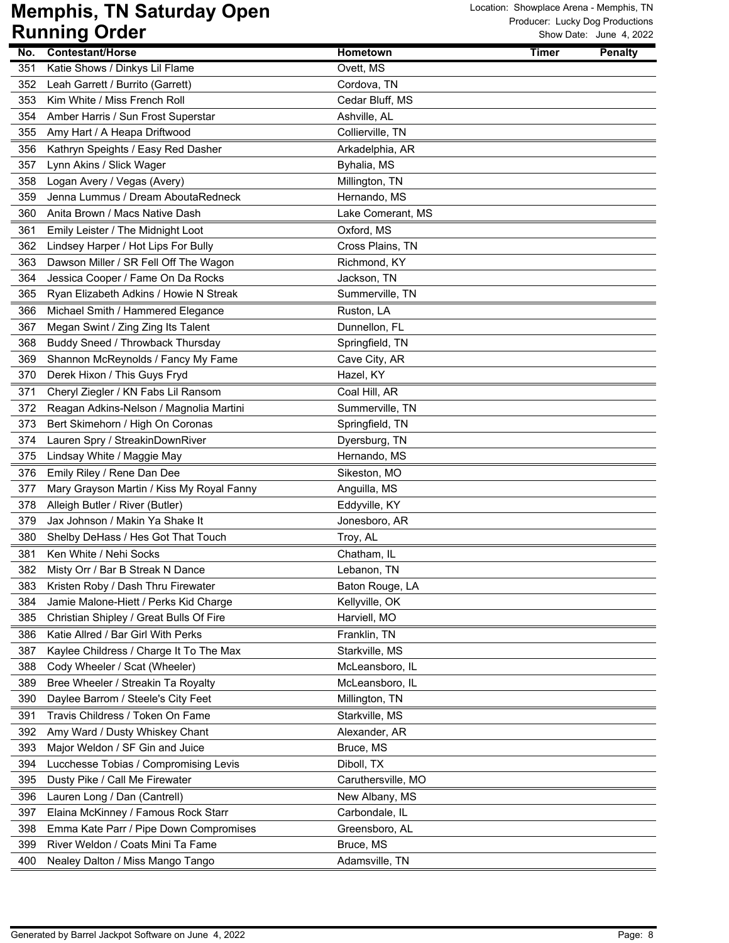| No. | <b>Contestant/Horse</b>                   | Hometown           | <b>Timer</b> | <b>Penalty</b> |
|-----|-------------------------------------------|--------------------|--------------|----------------|
| 351 | Katie Shows / Dinkys Lil Flame            | Ovett, MS          |              |                |
| 352 | Leah Garrett / Burrito (Garrett)          | Cordova, TN        |              |                |
| 353 | Kim White / Miss French Roll              | Cedar Bluff, MS    |              |                |
| 354 | Amber Harris / Sun Frost Superstar        | Ashville, AL       |              |                |
| 355 | Amy Hart / A Heapa Driftwood              | Collierville, TN   |              |                |
| 356 | Kathryn Speights / Easy Red Dasher        | Arkadelphia, AR    |              |                |
| 357 | Lynn Akins / Slick Wager                  | Byhalia, MS        |              |                |
| 358 | Logan Avery / Vegas (Avery)               | Millington, TN     |              |                |
| 359 | Jenna Lummus / Dream AboutaRedneck        | Hernando, MS       |              |                |
| 360 | Anita Brown / Macs Native Dash            | Lake Comerant, MS  |              |                |
| 361 | Emily Leister / The Midnight Loot         | Oxford, MS         |              |                |
| 362 | Lindsey Harper / Hot Lips For Bully       | Cross Plains, TN   |              |                |
| 363 | Dawson Miller / SR Fell Off The Wagon     | Richmond, KY       |              |                |
| 364 | Jessica Cooper / Fame On Da Rocks         | Jackson, TN        |              |                |
| 365 | Ryan Elizabeth Adkins / Howie N Streak    | Summerville, TN    |              |                |
| 366 | Michael Smith / Hammered Elegance         | Ruston, LA         |              |                |
| 367 | Megan Swint / Zing Zing Its Talent        | Dunnellon, FL      |              |                |
| 368 | Buddy Sneed / Throwback Thursday          | Springfield, TN    |              |                |
| 369 | Shannon McReynolds / Fancy My Fame        | Cave City, AR      |              |                |
| 370 | Derek Hixon / This Guys Fryd              | Hazel, KY          |              |                |
| 371 | Cheryl Ziegler / KN Fabs Lil Ransom       | Coal Hill, AR      |              |                |
| 372 | Reagan Adkins-Nelson / Magnolia Martini   | Summerville, TN    |              |                |
| 373 | Bert Skimehorn / High On Coronas          | Springfield, TN    |              |                |
| 374 | Lauren Spry / StreakinDownRiver           | Dyersburg, TN      |              |                |
| 375 | Lindsay White / Maggie May                | Hernando, MS       |              |                |
| 376 | Emily Riley / Rene Dan Dee                | Sikeston, MO       |              |                |
| 377 | Mary Grayson Martin / Kiss My Royal Fanny | Anguilla, MS       |              |                |
| 378 | Alleigh Butler / River (Butler)           | Eddyville, KY      |              |                |
| 379 | Jax Johnson / Makin Ya Shake It           | Jonesboro, AR      |              |                |
| 380 | Shelby DeHass / Hes Got That Touch        | Troy, AL           |              |                |
| 381 | Ken White / Nehi Socks                    | Chatham, IL        |              |                |
| 382 | Misty Orr / Bar B Streak N Dance          | Lebanon, TN        |              |                |
| 383 | Kristen Roby / Dash Thru Firewater        | Baton Rouge, LA    |              |                |
| 384 | Jamie Malone-Hiett / Perks Kid Charge     | Kellyville, OK     |              |                |
| 385 | Christian Shipley / Great Bulls Of Fire   | Harviell, MO       |              |                |
| 386 | Katie Allred / Bar Girl With Perks        | Franklin, TN       |              |                |
| 387 | Kaylee Childress / Charge It To The Max   | Starkville, MS     |              |                |
| 388 | Cody Wheeler / Scat (Wheeler)             | McLeansboro, IL    |              |                |
| 389 | Bree Wheeler / Streakin Ta Royalty        | McLeansboro, IL    |              |                |
| 390 | Daylee Barrom / Steele's City Feet        | Millington, TN     |              |                |
| 391 | Travis Childress / Token On Fame          | Starkville, MS     |              |                |
| 392 | Amy Ward / Dusty Whiskey Chant            | Alexander, AR      |              |                |
| 393 | Major Weldon / SF Gin and Juice           | Bruce, MS          |              |                |
| 394 | Lucchesse Tobias / Compromising Levis     | Diboll, TX         |              |                |
| 395 | Dusty Pike / Call Me Firewater            | Caruthersville, MO |              |                |
| 396 | Lauren Long / Dan (Cantrell)              | New Albany, MS     |              |                |
| 397 | Elaina McKinney / Famous Rock Starr       | Carbondale, IL     |              |                |
| 398 | Emma Kate Parr / Pipe Down Compromises    | Greensboro, AL     |              |                |
| 399 | River Weldon / Coats Mini Ta Fame         | Bruce, MS          |              |                |
| 400 | Nealey Dalton / Miss Mango Tango          | Adamsville, TN     |              |                |
|     |                                           |                    |              |                |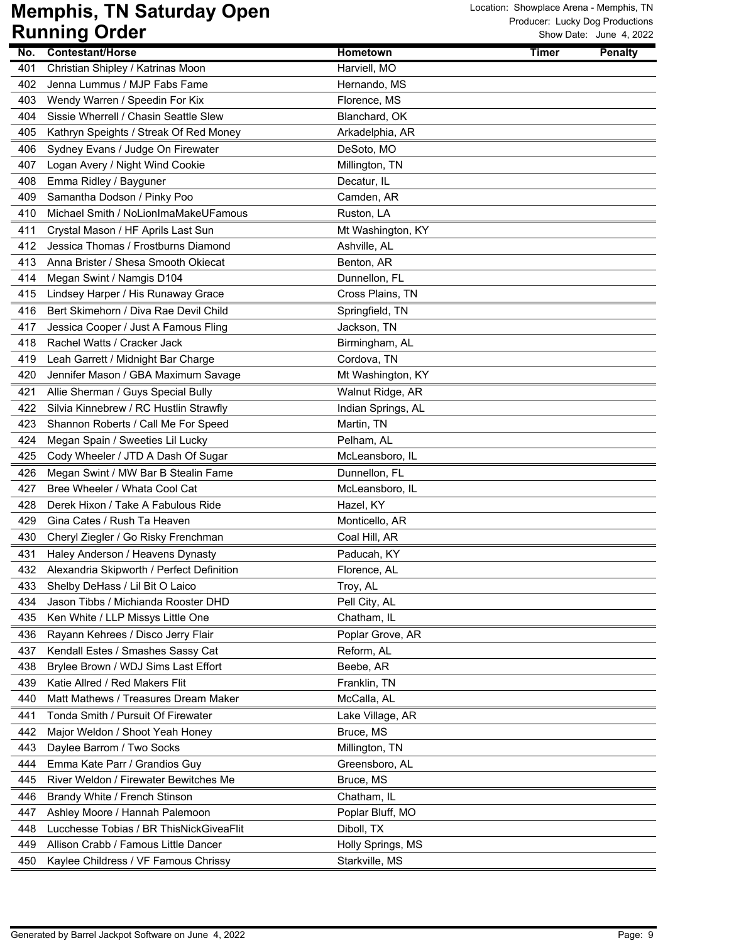| No. | <b>Contestant/Horse</b>                   | Hometown           | <b>Timer</b> | <b>Penalty</b> |
|-----|-------------------------------------------|--------------------|--------------|----------------|
| 401 | Christian Shipley / Katrinas Moon         | Harviell, MO       |              |                |
| 402 | Jenna Lummus / MJP Fabs Fame              | Hernando, MS       |              |                |
| 403 | Wendy Warren / Speedin For Kix            | Florence, MS       |              |                |
| 404 | Sissie Wherrell / Chasin Seattle Slew     | Blanchard, OK      |              |                |
| 405 | Kathryn Speights / Streak Of Red Money    | Arkadelphia, AR    |              |                |
| 406 | Sydney Evans / Judge On Firewater         | DeSoto, MO         |              |                |
| 407 | Logan Avery / Night Wind Cookie           | Millington, TN     |              |                |
| 408 | Emma Ridley / Bayguner                    | Decatur, IL        |              |                |
| 409 | Samantha Dodson / Pinky Poo               | Camden, AR         |              |                |
| 410 | Michael Smith / NoLionImaMakeUFamous      | Ruston, LA         |              |                |
| 411 | Crystal Mason / HF Aprils Last Sun        | Mt Washington, KY  |              |                |
| 412 | Jessica Thomas / Frostburns Diamond       | Ashville, AL       |              |                |
| 413 | Anna Brister / Shesa Smooth Okiecat       | Benton, AR         |              |                |
| 414 | Megan Swint / Namgis D104                 | Dunnellon, FL      |              |                |
| 415 | Lindsey Harper / His Runaway Grace        | Cross Plains, TN   |              |                |
| 416 | Bert Skimehorn / Diva Rae Devil Child     | Springfield, TN    |              |                |
| 417 | Jessica Cooper / Just A Famous Fling      | Jackson, TN        |              |                |
| 418 | Rachel Watts / Cracker Jack               | Birmingham, AL     |              |                |
| 419 | Leah Garrett / Midnight Bar Charge        | Cordova, TN        |              |                |
| 420 | Jennifer Mason / GBA Maximum Savage       | Mt Washington, KY  |              |                |
| 421 | Allie Sherman / Guys Special Bully        | Walnut Ridge, AR   |              |                |
| 422 | Silvia Kinnebrew / RC Hustlin Strawfly    | Indian Springs, AL |              |                |
| 423 | Shannon Roberts / Call Me For Speed       | Martin, TN         |              |                |
| 424 | Megan Spain / Sweeties Lil Lucky          | Pelham, AL         |              |                |
| 425 | Cody Wheeler / JTD A Dash Of Sugar        | McLeansboro, IL    |              |                |
| 426 | Megan Swint / MW Bar B Stealin Fame       | Dunnellon, FL      |              |                |
| 427 | Bree Wheeler / Whata Cool Cat             | McLeansboro, IL    |              |                |
| 428 | Derek Hixon / Take A Fabulous Ride        | Hazel, KY          |              |                |
| 429 | Gina Cates / Rush Ta Heaven               | Monticello, AR     |              |                |
| 430 | Cheryl Ziegler / Go Risky Frenchman       | Coal Hill, AR      |              |                |
| 431 | Haley Anderson / Heavens Dynasty          | Paducah, KY        |              |                |
| 432 | Alexandria Skipworth / Perfect Definition | Florence, AL       |              |                |
| 433 | Shelby DeHass / Lil Bit O Laico           | Troy, AL           |              |                |
| 434 | Jason Tibbs / Michianda Rooster DHD       | Pell City, AL      |              |                |
| 435 | Ken White / LLP Missys Little One         | Chatham, IL        |              |                |
| 436 | Rayann Kehrees / Disco Jerry Flair        | Poplar Grove, AR   |              |                |
| 437 | Kendall Estes / Smashes Sassy Cat         | Reform, AL         |              |                |
| 438 | Brylee Brown / WDJ Sims Last Effort       | Beebe, AR          |              |                |
| 439 | Katie Allred / Red Makers Flit            | Franklin, TN       |              |                |
| 440 | Matt Mathews / Treasures Dream Maker      | McCalla, AL        |              |                |
| 441 | Tonda Smith / Pursuit Of Firewater        | Lake Village, AR   |              |                |
| 442 | Major Weldon / Shoot Yeah Honey           | Bruce, MS          |              |                |
| 443 | Daylee Barrom / Two Socks                 | Millington, TN     |              |                |
| 444 | Emma Kate Parr / Grandios Guy             | Greensboro, AL     |              |                |
| 445 | River Weldon / Firewater Bewitches Me     | Bruce, MS          |              |                |
| 446 | Brandy White / French Stinson             | Chatham, IL        |              |                |
| 447 | Ashley Moore / Hannah Palemoon            | Poplar Bluff, MO   |              |                |
| 448 | Lucchesse Tobias / BR ThisNickGiveaFlit   | Diboll, TX         |              |                |
| 449 | Allison Crabb / Famous Little Dancer      | Holly Springs, MS  |              |                |
| 450 | Kaylee Childress / VF Famous Chrissy      | Starkville, MS     |              |                |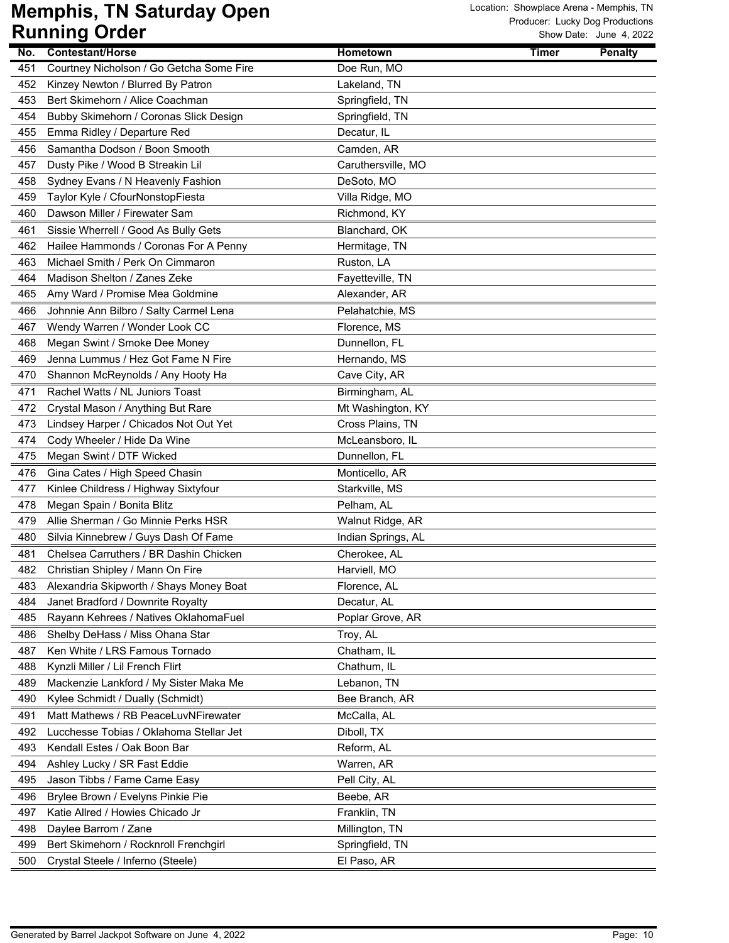|     | ויטטוש איט נווווווש                      |                    |              | SIIUW DAIC. JUIIC 4, ZUZZ |
|-----|------------------------------------------|--------------------|--------------|---------------------------|
| No. | Contestant/Horse                         | <b>Hometown</b>    | <b>Timer</b> | <b>Penalty</b>            |
| 451 | Courtney Nicholson / Go Getcha Some Fire | Doe Run, MO        |              |                           |
| 452 | Kinzey Newton / Blurred By Patron        | Lakeland, TN       |              |                           |
| 453 | Bert Skimehorn / Alice Coachman          | Springfield, TN    |              |                           |
| 454 | Bubby Skimehorn / Coronas Slick Design   | Springfield, TN    |              |                           |
| 455 | Emma Ridley / Departure Red              | Decatur, IL        |              |                           |
| 456 | Samantha Dodson / Boon Smooth            | Camden, AR         |              |                           |
| 457 | Dusty Pike / Wood B Streakin Lil         | Caruthersville, MO |              |                           |
| 458 | Sydney Evans / N Heavenly Fashion        | DeSoto, MO         |              |                           |
| 459 | Taylor Kyle / CfourNonstopFiesta         | Villa Ridge, MO    |              |                           |
| 460 | Dawson Miller / Firewater Sam            | Richmond, KY       |              |                           |
| 461 | Sissie Wherrell / Good As Bully Gets     | Blanchard, OK      |              |                           |
| 462 | Hailee Hammonds / Coronas For A Penny    | Hermitage, TN      |              |                           |
| 463 | Michael Smith / Perk On Cimmaron         | Ruston, LA         |              |                           |
| 464 | Madison Shelton / Zanes Zeke             | Fayetteville, TN   |              |                           |
| 465 | Amy Ward / Promise Mea Goldmine          | Alexander, AR      |              |                           |
| 466 | Johnnie Ann Bilbro / Salty Carmel Lena   | Pelahatchie, MS    |              |                           |
| 467 | Wendy Warren / Wonder Look CC            | Florence, MS       |              |                           |
| 468 | Megan Swint / Smoke Dee Money            | Dunnellon, FL      |              |                           |
| 469 | Jenna Lummus / Hez Got Fame N Fire       | Hernando, MS       |              |                           |
| 470 | Shannon McReynolds / Any Hooty Ha        | Cave City, AR      |              |                           |
| 471 | Rachel Watts / NL Juniors Toast          | Birmingham, AL     |              |                           |
| 472 | Crystal Mason / Anything But Rare        | Mt Washington, KY  |              |                           |
| 473 | Lindsey Harper / Chicados Not Out Yet    | Cross Plains, TN   |              |                           |
| 474 | Cody Wheeler / Hide Da Wine              | McLeansboro, IL    |              |                           |
| 475 | Megan Swint / DTF Wicked                 | Dunnellon, FL      |              |                           |
| 476 | Gina Cates / High Speed Chasin           | Monticello, AR     |              |                           |
| 477 | Kinlee Childress / Highway Sixtyfour     | Starkville, MS     |              |                           |
| 478 | Megan Spain / Bonita Blitz               | Pelham, AL         |              |                           |
| 479 | Allie Sherman / Go Minnie Perks HSR      | Walnut Ridge, AR   |              |                           |
| 480 | Silvia Kinnebrew / Guys Dash Of Fame     | Indian Springs, AL |              |                           |
| 481 | Chelsea Carruthers / BR Dashin Chicken   | Cherokee, AL       |              |                           |
| 482 | Christian Shipley / Mann On Fire         | Harviell, MO       |              |                           |
| 483 | Alexandria Skipworth / Shays Money Boat  | Florence, AL       |              |                           |
| 484 | Janet Bradford / Downrite Royalty        | Decatur, AL        |              |                           |
| 485 | Rayann Kehrees / Natives OklahomaFuel    | Poplar Grove, AR   |              |                           |
| 486 | Shelby DeHass / Miss Ohana Star          | Troy, AL           |              |                           |
| 487 | Ken White / LRS Famous Tornado           | Chatham, IL        |              |                           |
| 488 | Kynzli Miller / Lil French Flirt         | Chathum, IL        |              |                           |
| 489 | Mackenzie Lankford / My Sister Maka Me   | Lebanon, TN        |              |                           |
| 490 | Kylee Schmidt / Dually (Schmidt)         | Bee Branch, AR     |              |                           |
| 491 | Matt Mathews / RB PeaceLuvNFirewater     | McCalla, AL        |              |                           |
| 492 | Lucchesse Tobias / Oklahoma Stellar Jet  | Diboll, TX         |              |                           |
| 493 | Kendall Estes / Oak Boon Bar             | Reform, AL         |              |                           |
| 494 | Ashley Lucky / SR Fast Eddie             | Warren, AR         |              |                           |
| 495 | Jason Tibbs / Fame Came Easy             | Pell City, AL      |              |                           |
| 496 | Brylee Brown / Evelyns Pinkie Pie        | Beebe, AR          |              |                           |
| 497 | Katie Allred / Howies Chicado Jr         | Franklin, TN       |              |                           |
| 498 | Daylee Barrom / Zane                     | Millington, TN     |              |                           |
| 499 | Bert Skimehorn / Rocknroll Frenchgirl    | Springfield, TN    |              |                           |
| 500 | Crystal Steele / Inferno (Steele)        | El Paso, AR        |              |                           |
|     |                                          |                    |              |                           |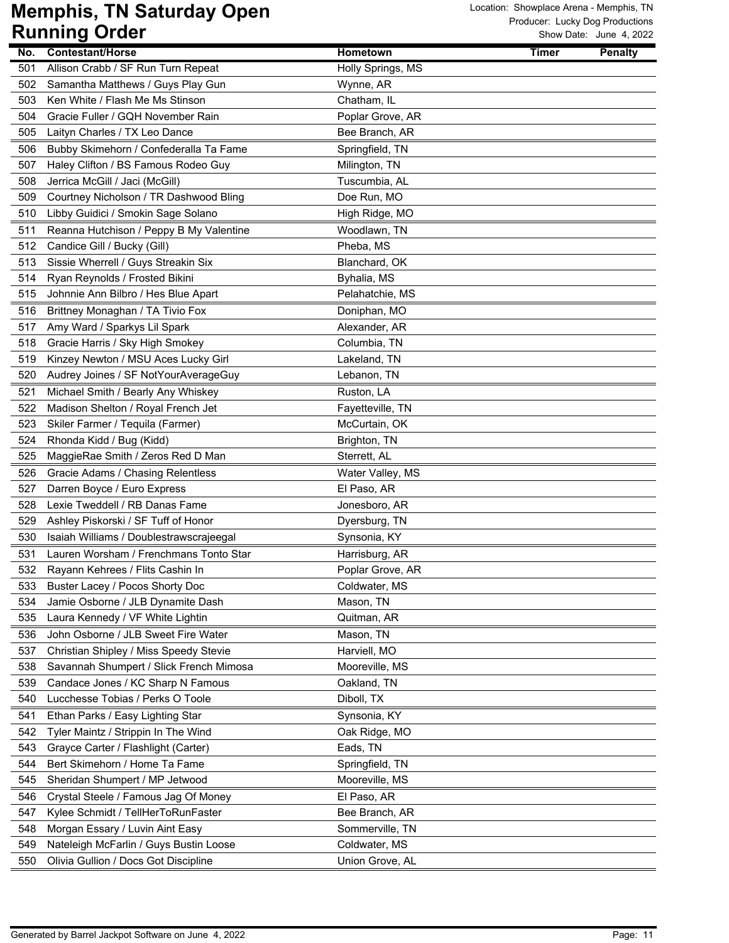| No. | <b>Contestant/Horse</b>                 | Hometown          | <b>Timer</b> | <b>Penalty</b> |
|-----|-----------------------------------------|-------------------|--------------|----------------|
| 501 | Allison Crabb / SF Run Turn Repeat      | Holly Springs, MS |              |                |
| 502 | Samantha Matthews / Guys Play Gun       | Wynne, AR         |              |                |
| 503 | Ken White / Flash Me Ms Stinson         | Chatham, IL       |              |                |
| 504 | Gracie Fuller / GQH November Rain       | Poplar Grove, AR  |              |                |
| 505 | Laityn Charles / TX Leo Dance           | Bee Branch, AR    |              |                |
| 506 | Bubby Skimehorn / Confederalla Ta Fame  | Springfield, TN   |              |                |
| 507 | Haley Clifton / BS Famous Rodeo Guy     | Milington, TN     |              |                |
| 508 | Jerrica McGill / Jaci (McGill)          | Tuscumbia, AL     |              |                |
| 509 | Courtney Nicholson / TR Dashwood Bling  | Doe Run, MO       |              |                |
| 510 | Libby Guidici / Smokin Sage Solano      | High Ridge, MO    |              |                |
| 511 | Reanna Hutchison / Peppy B My Valentine | Woodlawn, TN      |              |                |
| 512 | Candice Gill / Bucky (Gill)             | Pheba, MS         |              |                |
| 513 | Sissie Wherrell / Guys Streakin Six     | Blanchard, OK     |              |                |
| 514 | Ryan Reynolds / Frosted Bikini          | Byhalia, MS       |              |                |
| 515 | Johnnie Ann Bilbro / Hes Blue Apart     | Pelahatchie, MS   |              |                |
| 516 | Brittney Monaghan / TA Tivio Fox        | Doniphan, MO      |              |                |
| 517 | Amy Ward / Sparkys Lil Spark            | Alexander, AR     |              |                |
| 518 | Gracie Harris / Sky High Smokey         | Columbia, TN      |              |                |
| 519 | Kinzey Newton / MSU Aces Lucky Girl     | Lakeland, TN      |              |                |
| 520 | Audrey Joines / SF NotYourAverageGuy    | Lebanon, TN       |              |                |
| 521 | Michael Smith / Bearly Any Whiskey      | Ruston, LA        |              |                |
| 522 | Madison Shelton / Royal French Jet      | Fayetteville, TN  |              |                |
| 523 | Skiler Farmer / Tequila (Farmer)        | McCurtain, OK     |              |                |
| 524 | Rhonda Kidd / Bug (Kidd)                | Brighton, TN      |              |                |
| 525 | MaggieRae Smith / Zeros Red D Man       | Sterrett, AL      |              |                |
| 526 | Gracie Adams / Chasing Relentless       | Water Valley, MS  |              |                |
| 527 | Darren Boyce / Euro Express             | El Paso, AR       |              |                |
| 528 | Lexie Tweddell / RB Danas Fame          | Jonesboro, AR     |              |                |
| 529 | Ashley Piskorski / SF Tuff of Honor     | Dyersburg, TN     |              |                |
| 530 | Isaiah Williams / Doublestrawscrajeegal | Synsonia, KY      |              |                |
| 531 | Lauren Worsham / Frenchmans Tonto Star  | Harrisburg, AR    |              |                |
| 532 | Rayann Kehrees / Flits Cashin In        | Poplar Grove, AR  |              |                |
| 533 | Buster Lacey / Pocos Shorty Doc         | Coldwater, MS     |              |                |
| 534 | Jamie Osborne / JLB Dynamite Dash       | Mason, TN         |              |                |
| 535 | Laura Kennedy / VF White Lightin        | Quitman, AR       |              |                |
| 536 | John Osborne / JLB Sweet Fire Water     | Mason, TN         |              |                |
| 537 | Christian Shipley / Miss Speedy Stevie  | Harviell, MO      |              |                |
| 538 | Savannah Shumpert / Slick French Mimosa | Mooreville, MS    |              |                |
| 539 | Candace Jones / KC Sharp N Famous       | Oakland, TN       |              |                |
| 540 | Lucchesse Tobias / Perks O Toole        | Diboll, TX        |              |                |
| 541 | Ethan Parks / Easy Lighting Star        | Synsonia, KY      |              |                |
| 542 | Tyler Maintz / Strippin In The Wind     | Oak Ridge, MO     |              |                |
| 543 | Grayce Carter / Flashlight (Carter)     | Eads, TN          |              |                |
| 544 | Bert Skimehorn / Home Ta Fame           | Springfield, TN   |              |                |
| 545 | Sheridan Shumpert / MP Jetwood          | Mooreville, MS    |              |                |
| 546 | Crystal Steele / Famous Jag Of Money    | El Paso, AR       |              |                |
| 547 | Kylee Schmidt / TellHerToRunFaster      | Bee Branch, AR    |              |                |
| 548 | Morgan Essary / Luvin Aint Easy         | Sommerville, TN   |              |                |
| 549 | Nateleigh McFarlin / Guys Bustin Loose  | Coldwater, MS     |              |                |
| 550 | Olivia Gullion / Docs Got Discipline    | Union Grove, AL   |              |                |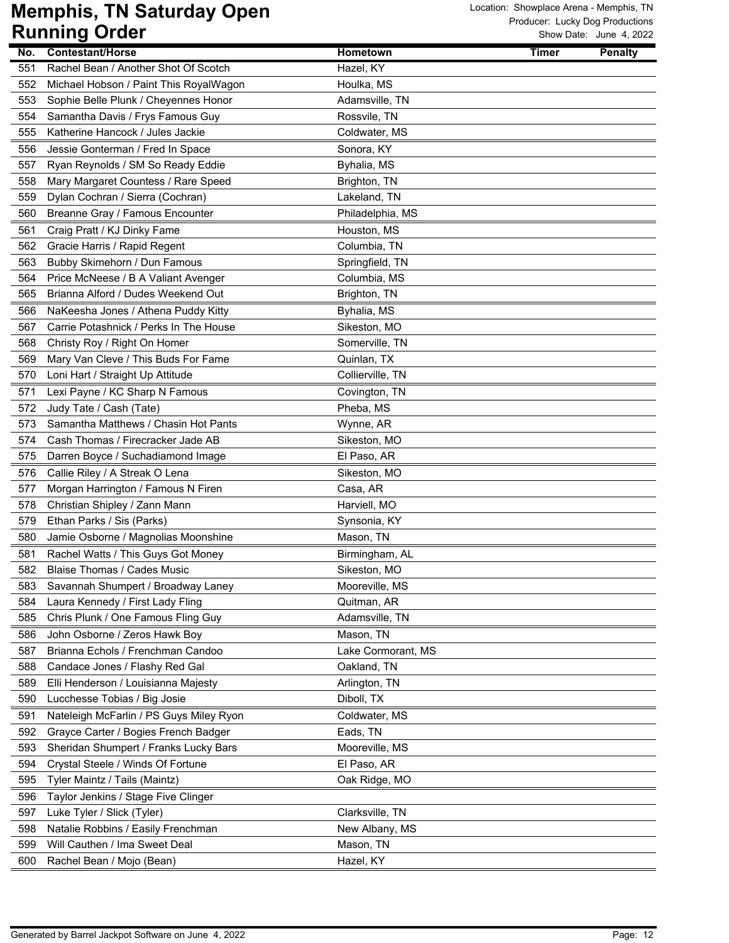|     | ישטיש שיייייייש                         |                    |       |                |
|-----|-----------------------------------------|--------------------|-------|----------------|
| No. | <b>Contestant/Horse</b>                 | Hometown           | Timer | <b>Penalty</b> |
| 551 | Rachel Bean / Another Shot Of Scotch    | Hazel, KY          |       |                |
| 552 | Michael Hobson / Paint This RoyalWagon  | Houlka, MS         |       |                |
| 553 | Sophie Belle Plunk / Cheyennes Honor    | Adamsville, TN     |       |                |
| 554 | Samantha Davis / Frys Famous Guy        | Rossvile, TN       |       |                |
| 555 | Katherine Hancock / Jules Jackie        | Coldwater, MS      |       |                |
| 556 | Jessie Gonterman / Fred In Space        | Sonora, KY         |       |                |
| 557 | Ryan Reynolds / SM So Ready Eddie       | Byhalia, MS        |       |                |
| 558 | Mary Margaret Countess / Rare Speed     | Brighton, TN       |       |                |
| 559 | Dylan Cochran / Sierra (Cochran)        | Lakeland, TN       |       |                |
| 560 | Breanne Gray / Famous Encounter         | Philadelphia, MS   |       |                |
| 561 | Craig Pratt / KJ Dinky Fame             | Houston, MS        |       |                |
| 562 | Gracie Harris / Rapid Regent            | Columbia, TN       |       |                |
| 563 | Bubby Skimehorn / Dun Famous            | Springfield, TN    |       |                |
| 564 | Price McNeese / B A Valiant Avenger     | Columbia, MS       |       |                |
| 565 | Brianna Alford / Dudes Weekend Out      | Brighton, TN       |       |                |
| 566 | NaKeesha Jones / Athena Puddy Kitty     | Byhalia, MS        |       |                |
| 567 | Carrie Potashnick / Perks In The House  | Sikeston, MO       |       |                |
| 568 | Christy Roy / Right On Homer            | Somerville, TN     |       |                |
| 569 | Mary Van Cleve / This Buds For Fame     | Quinlan, TX        |       |                |
| 570 | Loni Hart / Straight Up Attitude        | Collierville, TN   |       |                |
| 571 | Lexi Payne / KC Sharp N Famous          | Covington, TN      |       |                |
| 572 | Judy Tate / Cash (Tate)                 | Pheba, MS          |       |                |
| 573 | Samantha Matthews / Chasin Hot Pants    | Wynne, AR          |       |                |
| 574 | Cash Thomas / Firecracker Jade AB       | Sikeston, MO       |       |                |
| 575 | Darren Boyce / Suchadiamond Image       | El Paso, AR        |       |                |
| 576 | Callie Riley / A Streak O Lena          | Sikeston, MO       |       |                |
| 577 | Morgan Harrington / Famous N Firen      | Casa, AR           |       |                |
| 578 | Christian Shipley / Zann Mann           | Harviell, MO       |       |                |
| 579 | Ethan Parks / Sis (Parks)               | Synsonia, KY       |       |                |
| 580 | Jamie Osborne / Magnolias Moonshine     | Mason, TN          |       |                |
| 581 | Rachel Watts / This Guys Got Money      | Birmingham, AL     |       |                |
| 582 | <b>Blaise Thomas / Cades Music</b>      | Sikeston, MO       |       |                |
| 583 | Savannah Shumpert / Broadway Laney      | Mooreville, MS     |       |                |
| 584 | Laura Kennedy / First Lady Fling        | Quitman, AR        |       |                |
| 585 | Chris Plunk / One Famous Fling Guy      | Adamsville, TN     |       |                |
| 586 | John Osborne / Zeros Hawk Boy           | Mason, TN          |       |                |
| 587 | Brianna Echols / Frenchman Candoo       |                    |       |                |
|     |                                         | Lake Cormorant, MS |       |                |
| 588 | Candace Jones / Flashy Red Gal          | Oakland, TN        |       |                |
| 589 | Elli Henderson / Louisianna Majesty     | Arlington, TN      |       |                |
| 590 | Lucchesse Tobias / Big Josie            | Diboll, TX         |       |                |
| 591 | Nateleigh McFarlin / PS Guys Miley Ryon | Coldwater, MS      |       |                |
| 592 | Grayce Carter / Bogies French Badger    | Eads, TN           |       |                |
| 593 | Sheridan Shumpert / Franks Lucky Bars   | Mooreville, MS     |       |                |
| 594 | Crystal Steele / Winds Of Fortune       | El Paso, AR        |       |                |
| 595 | Tyler Maintz / Tails (Maintz)           | Oak Ridge, MO      |       |                |
| 596 | Taylor Jenkins / Stage Five Clinger     |                    |       |                |
| 597 | Luke Tyler / Slick (Tyler)              | Clarksville, TN    |       |                |
| 598 | Natalie Robbins / Easily Frenchman      | New Albany, MS     |       |                |
| 599 | Will Cauthen / Ima Sweet Deal           | Mason, TN          |       |                |
| 600 | Rachel Bean / Mojo (Bean)               | Hazel, KY          |       |                |